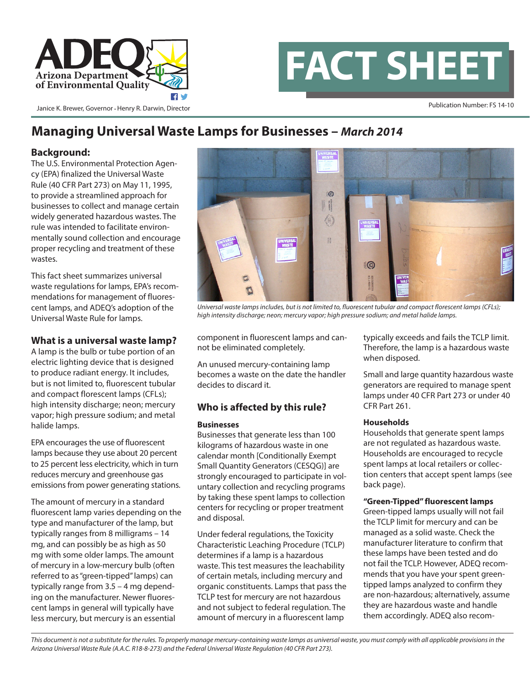



Janice K. Brewer, Governor • Henry R. Darwin, Director

#### Publication Number: FS 14-10

# **Managing Universal Waste Lamps for Businesses –** *March 2014*

# **Background:**

The U.S. Environmental Protection Agency (EPA) finalized the Universal Waste Rule (40 CFR Part 273) on May 11, 1995, to provide a streamlined approach for businesses to collect and manage certain widely generated hazardous wastes. The rule was intended to facilitate environmentally sound collection and encourage proper recycling and treatment of these wastes.

This fact sheet summarizes universal waste regulations for lamps, EPA's recommendations for management of fluorescent lamps, and ADEQ's adoption of the Universal Waste Rule for lamps.

## **What is a universal waste lamp?**

A lamp is the bulb or tube portion of an electric lighting device that is designed to produce radiant energy. It includes, but is not limited to, fluorescent tubular and compact florescent lamps (CFLs); high intensity discharge; neon; mercury vapor; high pressure sodium; and metal halide lamps.

EPA encourages the use of fluorescent lamps because they use about 20 percent to 25 percent less electricity, which in turn reduces mercury and greenhouse gas emissions from power generating stations.

The amount of mercury in a standard fluorescent lamp varies depending on the type and manufacturer of the lamp, but typically ranges from 8 milligrams – 14 mg, and can possibly be as high as 50 mg with some older lamps. The amount of mercury in a low-mercury bulb (often referred to as "green-tipped" lamps) can typically range from 3.5 – 4 mg depending on the manufacturer. Newer fluorescent lamps in general will typically have less mercury, but mercury is an essential



*Universal waste lamps includes, but is not limited to, fluorescent tubular and compact florescent lamps (CFLs); high intensity discharge; neon; mercury vapor; high pressure sodium; and metal halide lamps.*

component in fluorescent lamps and cannot be eliminated completely.

An unused mercury-containing lamp becomes a waste on the date the handler decides to discard it.

# **Who is affected by this rule?**

#### **Businesses**

Businesses that generate less than 100 kilograms of hazardous waste in one calendar month [Conditionally Exempt Small Quantity Generators (CESQG)] are strongly encouraged to participate in voluntary collection and recycling programs by taking these spent lamps to collection centers for recycling or proper treatment and disposal.

Under federal regulations, the Toxicity Characteristic Leaching Procedure (TCLP) determines if a lamp is a hazardous waste. This test measures the leachability of certain metals, including mercury and organic constituents. Lamps that pass the TCLP test for mercury are not hazardous and not subject to federal regulation. The amount of mercury in a fluorescent lamp

typically exceeds and fails the TCLP limit. Therefore, the lamp is a hazardous waste when disposed.

Small and large quantity hazardous waste generators are required to manage spent lamps under 40 CFR Part 273 or under 40 CFR Part 261.

#### **Households**

Households that generate spent lamps are not regulated as hazardous waste. Households are encouraged to recycle spent lamps at local retailers or collection centers that accept spent lamps (see back page).

#### **"Green-Tipped" fluorescent lamps**

Green-tipped lamps usually will not fail the TCLP limit for mercury and can be managed as a solid waste. Check the manufacturer literature to confirm that these lamps have been tested and do not fail the TCLP. However, ADEQ recommends that you have your spent greentipped lamps analyzed to confirm they are non-hazardous; alternatively, assume they are hazardous waste and handle them accordingly. ADEQ also recom-

This document is not a substitute for the rules. To properly manage mercury-containing waste lamps as universal waste, you must comply with all applicable provisions in the *Arizona Universal Waste Rule (A.A.C. R18-8-273) and the Federal Universal Waste Regulation (40 CFR Part 273).*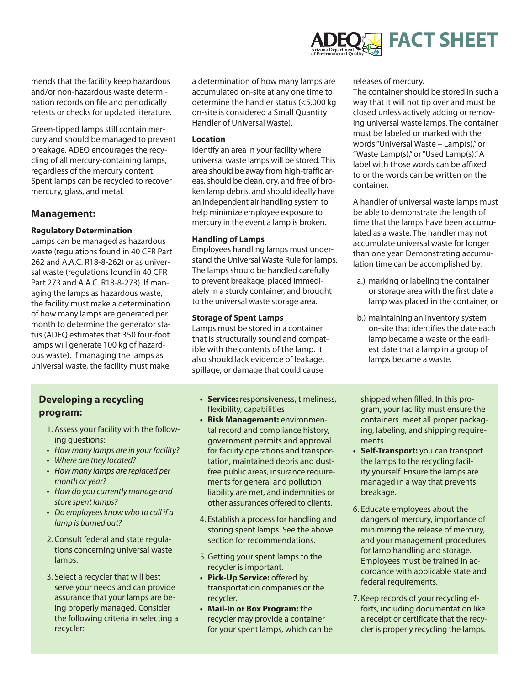mends that the facility keep hazardous and/or non-hazardous waste determination records on file and periodically retests or checks for updated literature.

Green-tipped lamps still contain mercury and should be managed to prevent breakage. ADEQ encourages the recycling of all mercury-containing lamps, regardless of the mercury content. Spent lamps can be recycled to recover mercury, glass, and metal.

## **Management:**

## **Regulatory Determination**

Lamps can be managed as hazardous waste (regulations found in 40 CFR Part 262 and A.A.C. R18-8-262) or as universal waste (regulations found in 40 CFR Part 273 and A.A.C. R18-8-273). If managing the lamps as hazardous waste, the facility must make a determination of how many lamps are generated per month to determine the generator status (ADEQ estimates that 350 four-foot lamps will generate 100 kg of hazardous waste). If managing the lamps as universal waste, the facility must make

# **Developing a recycling program:**

- 1. Assess your facility with the following questions:
- *• How many lamps are in your facility?*
- *• Where are they located?*
- *• How many lamps are replaced per month or year?*
- *• How do you currently manage and store spent lamps?*
- *• Do employees know who to call if a lamp is burned out?*
- 2. Consult federal and state regulations concerning universal waste lamps.
- 3. Select a recycler that will best serve your needs and can provide assurance that your lamps are being properly managed. Consider the following criteria in selecting a recycler:

a determination of how many lamps are accumulated on-site at any one time to determine the handler status (<5,000 kg on-site is considered a Small Quantity Handler of Universal Waste).

#### **Location**

Identify an area in your facility where universal waste lamps will be stored. This area should be away from high-traffic areas, should be clean, dry, and free of broken lamp debris, and should ideally have an independent air handling system to help minimize employee exposure to mercury in the event a lamp is broken.

## **Handling of Lamps**

Employees handling lamps must understand the Universal Waste Rule for lamps. The lamps should be handled carefully to prevent breakage, placed immediately in a sturdy container, and brought to the universal waste storage area.

## **Storage of Spent Lamps**

Lamps must be stored in a container that is structurally sound and compatible with the contents of the lamp. It also should lack evidence of leakage, spillage, or damage that could cause

- **• Service:** responsiveness, timeliness, flexibility, capabilities
- **• Risk Management:** environmental record and compliance history, government permits and approval for facility operations and transportation, maintained debris and dustfree public areas, insurance requirements for general and pollution liability are met, and indemnities or other assurances offered to clients.
- 4. Establish a process for handling and storing spent lamps. See the above section for recommendations.
- 5. Getting your spent lamps to the recycler is important.
- **• Pick-Up Service:** offered by transportation companies or the recycler.
- **• Mail-In or Box Program:** the recycler may provide a container for your spent lamps, which can be

releases of mercury.

closed unless actively adding or removing universal waste lamps. The container must be labeled or marked with the words "Universal Waste – Lamp(s)," or "Waste Lamp(s)," or "Used Lamp(s)." A **courtesy and service.**  label with those words can be affixed to or the words can be written on the **We turn challenges into opportunities.**  container. way that it will not tip over and must be The container should be stored in such a

A handler of universal waste lamps must be able to demonstrate the length of time that the lamps have been accumulated as a waste. The handler may not accumulate universal waste for longer than one year. Demonstrating accumulation time can be accomplished by:

- a.) marking or labeling the container or storage area with the first date a lamp was placed in the container, or
- b.) maintaining an inventory system on-site that identifies the date each lamp became a waste or the earliest date that a lamp in a group of lamps became a waste.

shipped when filled. In this program, your facility must ensure the containers meet all proper packaging, labeling, and shipping requirements.

- **• Self-Transport:** you can transport the lamps to the recycling facility yourself. Ensure the lamps are managed in a way that prevents breakage.
- 6. Educate employees about the dangers of mercury, importance of minimizing the release of mercury, and your management procedures for lamp handling and storage. Employees must be trained in accordance with applicable state and federal requirements.
- 7. Keep records of your recycling efforts, including documentation like a receipt or certificate that the recycler is properly recycling the lamps.

#### **Arizona Department of Environmental Quality FACT SHEET**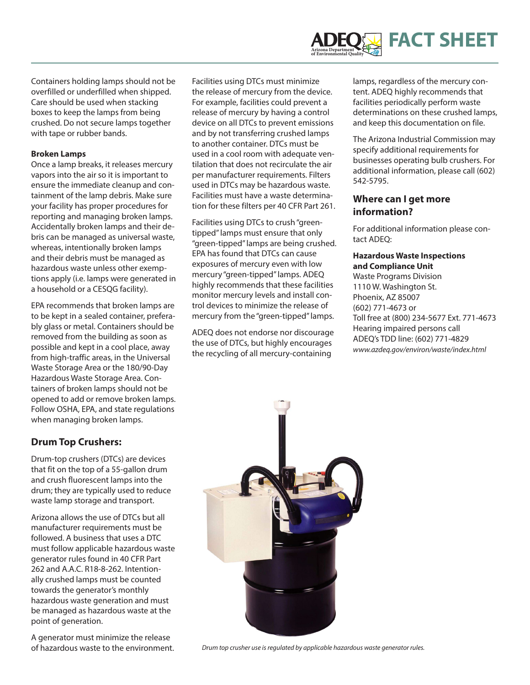Containers holding lamps should not be overfilled or underfilled when shipped. Care should be used when stacking boxes to keep the lamps from being crushed. Do not secure lamps together with tape or rubber bands.

#### **Broken Lamps**

Once a lamp breaks, it releases mercury vapors into the air so it is important to ensure the immediate cleanup and containment of the lamp debris. Make sure your facility has proper procedures for reporting and managing broken lamps. Accidentally broken lamps and their debris can be managed as universal waste, whereas, intentionally broken lamps and their debris must be managed as hazardous waste unless other exemptions apply (i.e. lamps were generated in a household or a CESQG facility).

EPA recommends that broken lamps are to be kept in a sealed container, preferably glass or metal. Containers should be removed from the building as soon as possible and kept in a cool place, away from high-traffic areas, in the Universal Waste Storage Area or the 180/90-Day Hazardous Waste Storage Area. Containers of broken lamps should not be opened to add or remove broken lamps. Follow OSHA, EPA, and state regulations when managing broken lamps.

# **Drum Top Crushers:**

Drum-top crushers (DTCs) are devices that fit on the top of a 55-gallon drum and crush fluorescent lamps into the drum; they are typically used to reduce waste lamp storage and transport.

Arizona allows the use of DTCs but all manufacturer requirements must be followed. A business that uses a DTC must follow applicable hazardous waste generator rules found in 40 CFR Part 262 and A.A.C. R18-8-262. Intentionally crushed lamps must be counted towards the generator's monthly hazardous waste generation and must be managed as hazardous waste at the point of generation.

A generator must minimize the release of hazardous waste to the environment. Facilities using DTCs must minimize the release of mercury from the device. For example, facilities could prevent a release of mercury by having a control device on all DTCs to prevent emissions and by not transferring crushed lamps to another container. DTCs must be used in a cool room with adequate ventilation that does not recirculate the air per manufacturer requirements. Filters used in DTCs may be hazardous waste. Facilities must have a waste determination for these filters per 40 CFR Part 261.

Facilities using DTCs to crush "greentipped" lamps must ensure that only "green-tipped" lamps are being crushed. EPA has found that DTCs can cause exposures of mercury even with low mercury "green-tipped" lamps. ADEQ highly recommends that these facilities monitor mercury levels and install control devices to minimize the release of mercury from the "green-tipped" lamps.

ADEQ does not endorse nor discourage the use of DTCs, but highly encourages the recycling of all mercury-containing

determinations on these crushed lamps, and keep this documentation on file. facilities periodically perform waste lamps, regardless of the mercury content. ADEQ highly recommends that

 $\mathbf{F}$ **b**  $\mathbf{F}$  **b**  $\mathbf{F}$ The Arizona Industrial Commission may **and transparency.**  specify additional requirements for businesses operating bulb crushers. For additional information, please call (602) **We turn challenges into opportunities.**  542-5795.

# **Where can I get more information?**

For additional information please contact ADEQ:

## **Hazardous Waste Inspections and Compliance Unit**

Waste Programs Division 1110 W. Washington St. Phoenix, AZ 85007 (602) 771-4673 or Toll free at (800) 234-5677 Ext. 771-4673 Hearing impaired persons call ADEQ's TDD line: (602) 771-4829 *www.azdeq.gov/environ/waste/index.html*



*Drum top crusher use is regulated by applicable hazardous waste generator rules.*

## **Arizona Department of Environmental Quality FACT SHEET**